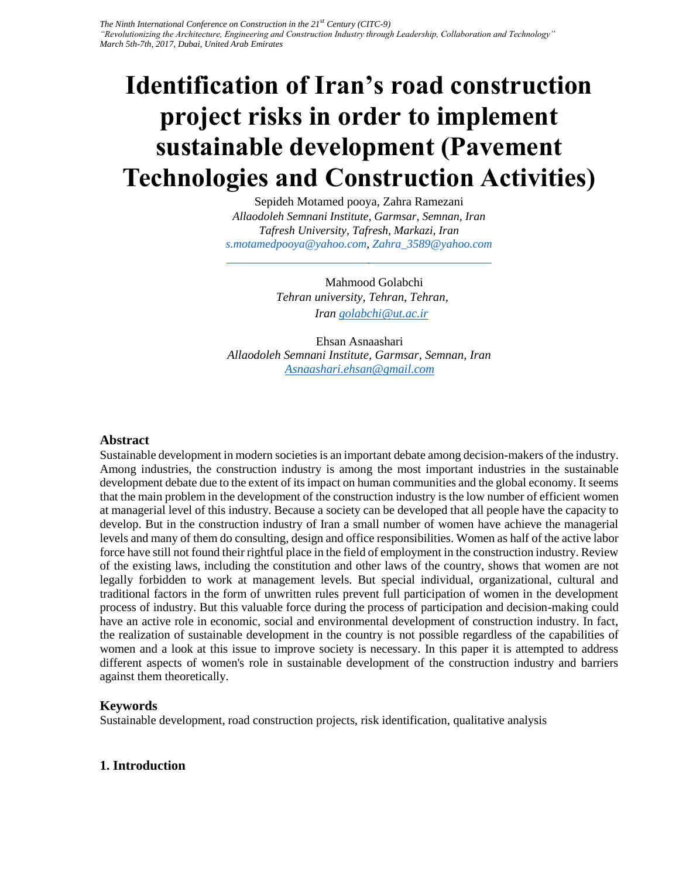# **Identification of Iran's road construction project risks in order to implement sustainable development (Pavement Technologies and Construction Activities)**

Sepideh Motamed pooya, Zahra Ramezani *Allaodoleh Semnani Institute, Garmsar, Semnan, Iran Tafresh University, Tafresh, Markazi, Iran s.motamedpooya@yahoo.com, Zahra\_3589@yahoo.com*

> Mahmood Golabchi *Tehran university, Tehran, Tehran, Ira[n golabchi@ut.ac.ir](mailto:golabchi@ut.ac.ir)*

Ehsan Asnaashari *Allaodoleh Semnani Institute, Garmsar, Semnan, Iran [Asnaashari.ehsan@gmail.com](mailto:Asnaashari.ehsan@gmail.com)*

#### **Abstract**

Sustainable development in modern societies is an important debate among decision-makers of the industry. Among industries, the construction industry is among the most important industries in the sustainable development debate due to the extent of its impact on human communities and the global economy. It seems that the main problem in the development of the construction industry is the low number of efficient women at managerial level of this industry. Because a society can be developed that all people have the capacity to develop. But in the construction industry of Iran a small number of women have achieve the managerial levels and many of them do consulting, design and office responsibilities. Women as half of the active labor force have still not found their rightful place in the field of employment in the construction industry. Review of the existing laws, including the constitution and other laws of the country, shows that women are not legally forbidden to work at management levels. But special individual, organizational, cultural and traditional factors in the form of unwritten rules prevent full participation of women in the development process of industry. But this valuable force during the process of participation and decision-making could have an active role in economic, social and environmental development of construction industry. In fact, the realization of sustainable development in the country is not possible regardless of the capabilities of women and a look at this issue to improve society is necessary. In this paper it is attempted to address different aspects of women's role in sustainable development of the construction industry and barriers against them theoretically.

## **Keywords**

Sustainable development, road construction projects, risk identification, qualitative analysis

## **1. Introduction**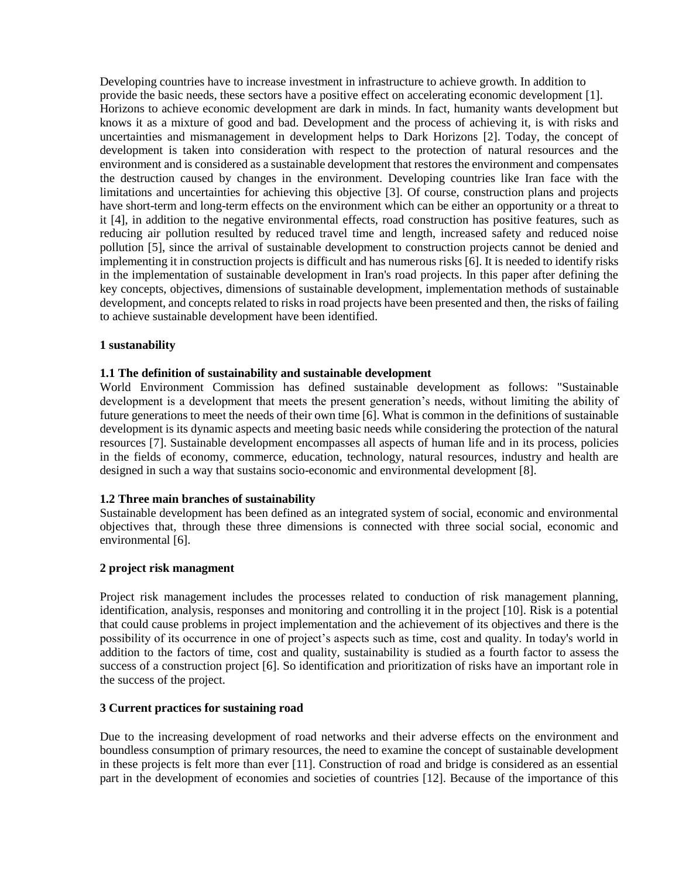Developing countries have to increase investment in infrastructure to achieve growth. In addition to provide the basic needs, these sectors have a positive effect on accelerating economic development [1]. Horizons to achieve economic development are dark in minds. In fact, humanity wants development but knows it as a mixture of good and bad. Development and the process of achieving it, is with risks and uncertainties and mismanagement in development helps to Dark Horizons [2]. Today, the concept of development is taken into consideration with respect to the protection of natural resources and the environment and is considered as a sustainable development that restores the environment and compensates the destruction caused by changes in the environment. Developing countries like Iran face with the limitations and uncertainties for achieving this objective [3]. Of course, construction plans and projects have short-term and long-term effects on the environment which can be either an opportunity or a threat to it [4], in addition to the negative environmental effects, road construction has positive features, such as reducing air pollution resulted by reduced travel time and length, increased safety and reduced noise pollution [5], since the arrival of sustainable development to construction projects cannot be denied and implementing it in construction projects is difficult and has numerous risks [6]. It is needed to identify risks in the implementation of sustainable development in Iran's road projects. In this paper after defining the key concepts, objectives, dimensions of sustainable development, implementation methods of sustainable development, and concepts related to risks in road projects have been presented and then, the risks of failing to achieve sustainable development have been identified.

#### **1 sustanability**

#### **1.1 The definition of sustainability and sustainable development**

World Environment Commission has defined sustainable development as follows: "Sustainable development is a development that meets the present generation's needs, without limiting the ability of future generations to meet the needs of their own time [6]. What is common in the definitions of sustainable development is its dynamic aspects and meeting basic needs while considering the protection of the natural resources [7]. Sustainable development encompasses all aspects of human life and in its process, policies in the fields of economy, commerce, education, technology, natural resources, industry and health are designed in such a way that sustains socio-economic and environmental development [8].

#### **1.2 Three main branches of sustainability**

Sustainable development has been defined as an integrated system of social, economic and environmental objectives that, through these three dimensions is connected with three social social, economic and environmental [6].

#### **2 project risk managment**

Project risk management includes the processes related to conduction of risk management planning, identification, analysis, responses and monitoring and controlling it in the project [10]. Risk is a potential that could cause problems in project implementation and the achievement of its objectives and there is the possibility of its occurrence in one of project's aspects such as time, cost and quality. In today's world in addition to the factors of time, cost and quality, sustainability is studied as a fourth factor to assess the success of a construction project [6]. So identification and prioritization of risks have an important role in the success of the project.

#### **3 Current practices for sustaining road**

Due to the increasing development of road networks and their adverse effects on the environment and boundless consumption of primary resources, the need to examine the concept of sustainable development in these projects is felt more than ever [11]. Construction of road and bridge is considered as an essential part in the development of economies and societies of countries [12]. Because of the importance of this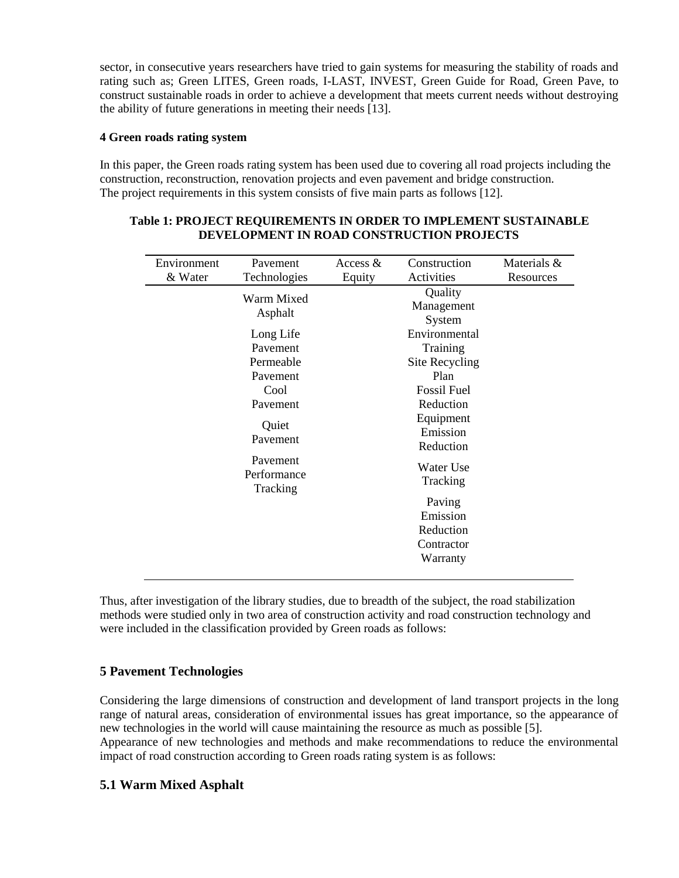sector, in consecutive years researchers have tried to gain systems for measuring the stability of roads and rating such as; Green LITES, Green roads, I-LAST, INVEST, Green Guide for Road, Green Pave, to construct sustainable roads in order to achieve a development that meets current needs without destroying the ability of future generations in meeting their needs [13].

#### **4 Green roads rating system**

In this paper, the Green roads rating system has been used due to covering all road projects including the construction, reconstruction, renovation projects and even pavement and bridge construction. The project requirements in this system consists of five main parts as follows [12].

| Environment<br>& Water | Pavement<br>Technologies            | Access $&$<br>Equity | Construction<br>Activities                                | Materials &<br>Resources |
|------------------------|-------------------------------------|----------------------|-----------------------------------------------------------|--------------------------|
|                        | Warm Mixed<br>Asphalt               |                      | Quality<br>Management<br>System                           |                          |
|                        | Long Life<br>Pavement               |                      | Environmental<br>Training                                 |                          |
|                        | Permeable<br>Pavement<br>Cool       |                      | Site Recycling<br>Plan<br><b>Fossil Fuel</b>              |                          |
|                        | Pavement                            |                      | Reduction<br>Equipment                                    |                          |
|                        | Quiet<br>Pavement                   |                      | Emission<br>Reduction                                     |                          |
|                        | Pavement<br>Performance<br>Tracking |                      | Water Use<br>Tracking                                     |                          |
|                        |                                     |                      | Paving<br>Emission<br>Reduction<br>Contractor<br>Warranty |                          |

#### **Table 1: PROJECT REQUIREMENTS IN ORDER TO IMPLEMENT SUSTAINABLE DEVELOPMENT IN ROAD CONSTRUCTION PROJECTS**

Thus, after investigation of the library studies, due to breadth of the subject, the road stabilization methods were studied only in two area of construction activity and road construction technology and were included in the classification provided by Green roads as follows:

# **5 Pavement Technologies**

Considering the large dimensions of construction and development of land transport projects in the long range of natural areas, consideration of environmental issues has great importance, so the appearance of new technologies in the world will cause maintaining the resource as much as possible [5]. Appearance of new technologies and methods and make recommendations to reduce the environmental impact of road construction according to Green roads rating system is as follows:

## **5.1 Warm Mixed Asphalt**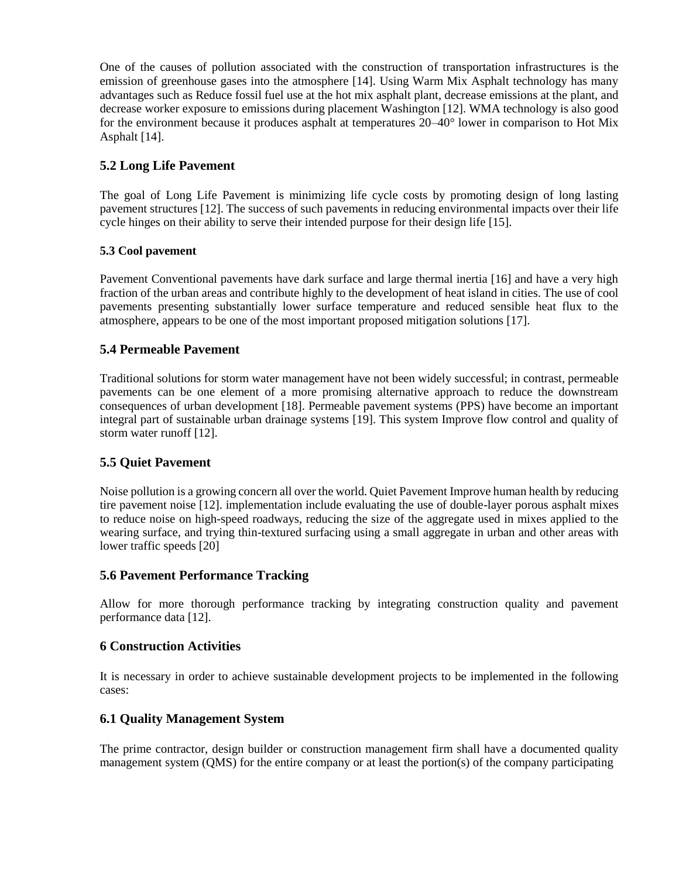One of the causes of pollution associated with the construction of transportation infrastructures is the emission of greenhouse gases into the atmosphere [14]. Using Warm Mix Asphalt technology has many advantages such as Reduce fossil fuel use at the hot mix asphalt plant, decrease emissions at the plant, and decrease worker exposure to emissions during placement Washington [12]. WMA technology is also good for the environment because it produces asphalt at temperatures 20–40° lower in comparison to Hot Mix Asphalt [14].

# **5.2 Long Life Pavement**

The goal of Long Life Pavement is minimizing life cycle costs by promoting design of long lasting pavement structures [12]. The success of such pavements in reducing environmental impacts over their life cycle hinges on their ability to serve their intended purpose for their design life [15].

## **5.3 Cool pavement**

Pavement Conventional pavements have dark surface and large thermal inertia [16] and have a very high fraction of the urban areas and contribute highly to the development of heat island in cities. The use of cool pavements presenting substantially lower surface temperature and reduced sensible heat flux to the atmosphere, appears to be one of the most important proposed mitigation solutions [17].

# **5.4 Permeable Pavement**

Traditional solutions for storm water management have not been widely successful; in contrast, permeable pavements can be one element of a more promising alternative approach to reduce the downstream consequences of urban development [18]. Permeable pavement systems (PPS) have become an important integral part of sustainable urban drainage systems [19]. This system Improve flow control and quality of storm water runoff [12].

## **5.5 Quiet Pavement**

Noise pollution is a growing concern all over the world. Quiet Pavement Improve human health by reducing tire pavement noise [12]. implementation include evaluating the use of double-layer porous asphalt mixes to reduce noise on high-speed roadways, reducing the size of the aggregate used in mixes applied to the wearing surface, and trying thin-textured surfacing using a small aggregate in urban and other areas with lower traffic speeds [20]

## **5.6 Pavement Performance Tracking**

Allow for more thorough performance tracking by integrating construction quality and pavement performance data [12].

## **6 Construction Activities**

It is necessary in order to achieve sustainable development projects to be implemented in the following cases:

## **6.1 Quality Management System**

The prime contractor, design builder or construction management firm shall have a documented quality management system (QMS) for the entire company or at least the portion(s) of the company participating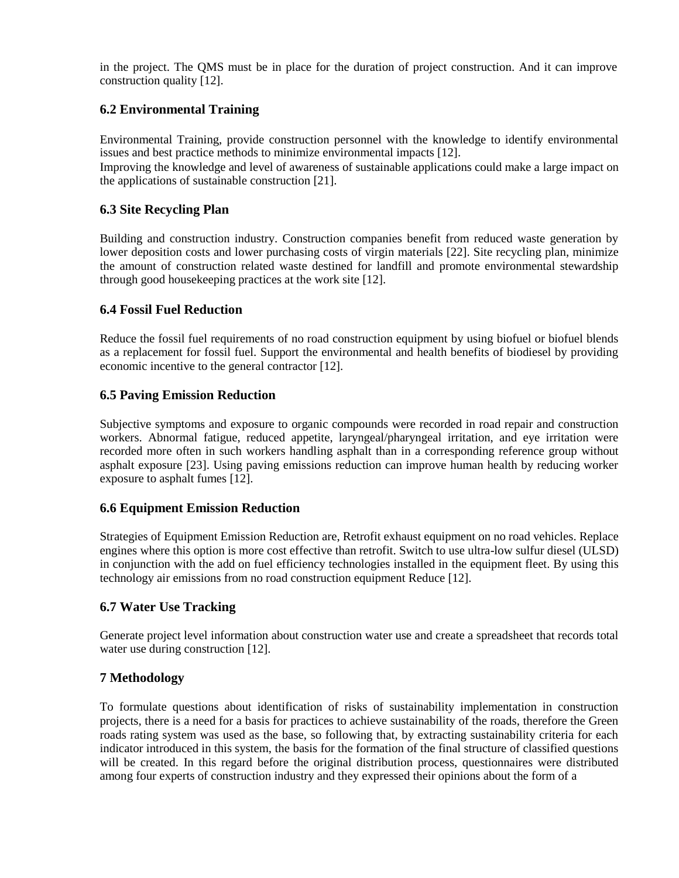in the project. The QMS must be in place for the duration of project construction. And it can improve construction quality [12].

## **6.2 Environmental Training**

Environmental Training, provide construction personnel with the knowledge to identify environmental issues and best practice methods to minimize environmental impacts [12].

Improving the knowledge and level of awareness of sustainable applications could make a large impact on the applications of sustainable construction [21].

## **6.3 Site Recycling Plan**

Building and construction industry. Construction companies benefit from reduced waste generation by lower deposition costs and lower purchasing costs of virgin materials [22]. Site recycling plan, minimize the amount of construction related waste destined for landfill and promote environmental stewardship through good housekeeping practices at the work site [12].

#### **6.4 Fossil Fuel Reduction**

Reduce the fossil fuel requirements of no road construction equipment by using biofuel or biofuel blends as a replacement for fossil fuel. Support the environmental and health benefits of biodiesel by providing economic incentive to the general contractor [12].

#### **6.5 Paving Emission Reduction**

Subjective symptoms and exposure to organic compounds were recorded in road repair and construction workers. Abnormal fatigue, reduced appetite, laryngeal/pharyngeal irritation, and eye irritation were recorded more often in such workers handling asphalt than in a corresponding reference group without asphalt exposure [23]. Using paving emissions reduction can improve human health by reducing worker exposure to asphalt fumes [12].

## **6.6 Equipment Emission Reduction**

Strategies of Equipment Emission Reduction are, Retrofit exhaust equipment on no road vehicles. Replace engines where this option is more cost effective than retrofit. Switch to use ultra-low sulfur diesel (ULSD) in conjunction with the add on fuel efficiency technologies installed in the equipment fleet. By using this technology air emissions from no road construction equipment Reduce [12].

## **6.7 Water Use Tracking**

Generate project level information about construction water use and create a spreadsheet that records total water use during construction [12].

## **7 Methodology**

To formulate questions about identification of risks of sustainability implementation in construction projects, there is a need for a basis for practices to achieve sustainability of the roads, therefore the Green roads rating system was used as the base, so following that, by extracting sustainability criteria for each indicator introduced in this system, the basis for the formation of the final structure of classified questions will be created. In this regard before the original distribution process, questionnaires were distributed among four experts of construction industry and they expressed their opinions about the form of a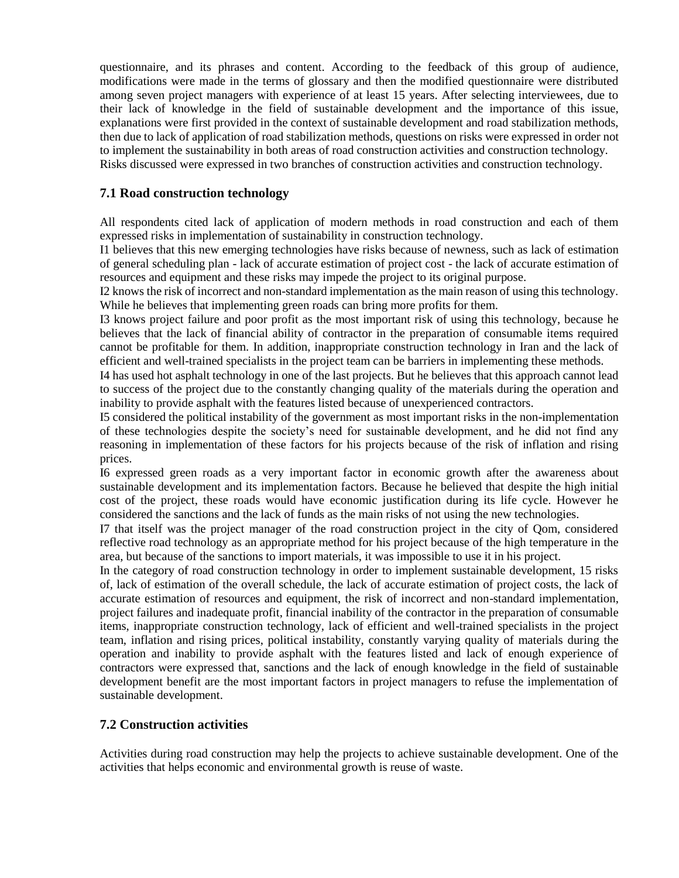questionnaire, and its phrases and content. According to the feedback of this group of audience, modifications were made in the terms of glossary and then the modified questionnaire were distributed among seven project managers with experience of at least 15 years. After selecting interviewees, due to their lack of knowledge in the field of sustainable development and the importance of this issue, explanations were first provided in the context of sustainable development and road stabilization methods, then due to lack of application of road stabilization methods, questions on risks were expressed in order not to implement the sustainability in both areas of road construction activities and construction technology. Risks discussed were expressed in two branches of construction activities and construction technology.

## **7.1 Road construction technology**

All respondents cited lack of application of modern methods in road construction and each of them expressed risks in implementation of sustainability in construction technology.

I1 believes that this new emerging technologies have risks because of newness, such as lack of estimation of general scheduling plan - lack of accurate estimation of project cost - the lack of accurate estimation of resources and equipment and these risks may impede the project to its original purpose.

I2 knows the risk of incorrect and non-standard implementation as the main reason of using this technology. While he believes that implementing green roads can bring more profits for them.

I3 knows project failure and poor profit as the most important risk of using this technology, because he believes that the lack of financial ability of contractor in the preparation of consumable items required cannot be profitable for them. In addition, inappropriate construction technology in Iran and the lack of efficient and well-trained specialists in the project team can be barriers in implementing these methods.

I4 has used hot asphalt technology in one of the last projects. But he believes that this approach cannot lead to success of the project due to the constantly changing quality of the materials during the operation and inability to provide asphalt with the features listed because of unexperienced contractors.

I5 considered the political instability of the government as most important risks in the non-implementation of these technologies despite the society's need for sustainable development, and he did not find any reasoning in implementation of these factors for his projects because of the risk of inflation and rising prices.

I6 expressed green roads as a very important factor in economic growth after the awareness about sustainable development and its implementation factors. Because he believed that despite the high initial cost of the project, these roads would have economic justification during its life cycle. However he considered the sanctions and the lack of funds as the main risks of not using the new technologies.

I7 that itself was the project manager of the road construction project in the city of Qom, considered reflective road technology as an appropriate method for his project because of the high temperature in the area, but because of the sanctions to import materials, it was impossible to use it in his project.

In the category of road construction technology in order to implement sustainable development, 15 risks of, lack of estimation of the overall schedule, the lack of accurate estimation of project costs, the lack of accurate estimation of resources and equipment, the risk of incorrect and non-standard implementation, project failures and inadequate profit, financial inability of the contractor in the preparation of consumable items, inappropriate construction technology, lack of efficient and well-trained specialists in the project team, inflation and rising prices, political instability, constantly varying quality of materials during the operation and inability to provide asphalt with the features listed and lack of enough experience of contractors were expressed that, sanctions and the lack of enough knowledge in the field of sustainable development benefit are the most important factors in project managers to refuse the implementation of sustainable development.

## **7.2 Construction activities**

Activities during road construction may help the projects to achieve sustainable development. One of the activities that helps economic and environmental growth is reuse of waste.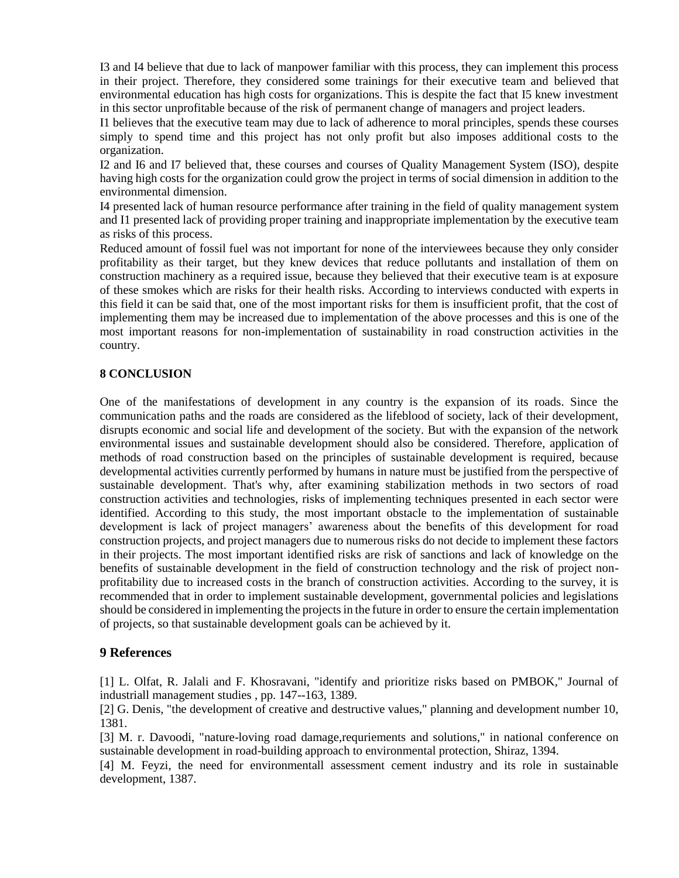I3 and I4 believe that due to lack of manpower familiar with this process, they can implement this process in their project. Therefore, they considered some trainings for their executive team and believed that environmental education has high costs for organizations. This is despite the fact that I5 knew investment in this sector unprofitable because of the risk of permanent change of managers and project leaders.

I1 believes that the executive team may due to lack of adherence to moral principles, spends these courses simply to spend time and this project has not only profit but also imposes additional costs to the organization.

I2 and I6 and I7 believed that, these courses and courses of Quality Management System (ISO), despite having high costs for the organization could grow the project in terms of social dimension in addition to the environmental dimension.

I4 presented lack of human resource performance after training in the field of quality management system and I1 presented lack of providing proper training and inappropriate implementation by the executive team as risks of this process.

Reduced amount of fossil fuel was not important for none of the interviewees because they only consider profitability as their target, but they knew devices that reduce pollutants and installation of them on construction machinery as a required issue, because they believed that their executive team is at exposure of these smokes which are risks for their health risks. According to interviews conducted with experts in this field it can be said that, one of the most important risks for them is insufficient profit, that the cost of implementing them may be increased due to implementation of the above processes and this is one of the most important reasons for non-implementation of sustainability in road construction activities in the country.

#### **8 CONCLUSION**

One of the manifestations of development in any country is the expansion of its roads. Since the communication paths and the roads are considered as the lifeblood of society, lack of their development, disrupts economic and social life and development of the society. But with the expansion of the network environmental issues and sustainable development should also be considered. Therefore, application of methods of road construction based on the principles of sustainable development is required, because developmental activities currently performed by humans in nature must be justified from the perspective of sustainable development. That's why, after examining stabilization methods in two sectors of road construction activities and technologies, risks of implementing techniques presented in each sector were identified. According to this study, the most important obstacle to the implementation of sustainable development is lack of project managers' awareness about the benefits of this development for road construction projects, and project managers due to numerous risks do not decide to implement these factors in their projects. The most important identified risks are risk of sanctions and lack of knowledge on the benefits of sustainable development in the field of construction technology and the risk of project nonprofitability due to increased costs in the branch of construction activities. According to the survey, it is recommended that in order to implement sustainable development, governmental policies and legislations should be considered in implementing the projects in the future in order to ensure the certain implementation of projects, so that sustainable development goals can be achieved by it.

#### **9 References**

[1] L. Olfat, R. Jalali and F. Khosravani, "identify and prioritize risks based on PMBOK," Journal of industriall management studies , pp. 147--163, 1389.

[2] G. Denis, "the development of creative and destructive values," planning and development number 10, 1381.

[3] M. r. Davoodi, "nature-loving road damage, requriements and solutions," in national conference on sustainable development in road-building approach to environmental protection, Shiraz, 1394.

[4] M. Feyzi, the need for environmentall assessment cement industry and its role in sustainable development, 1387.